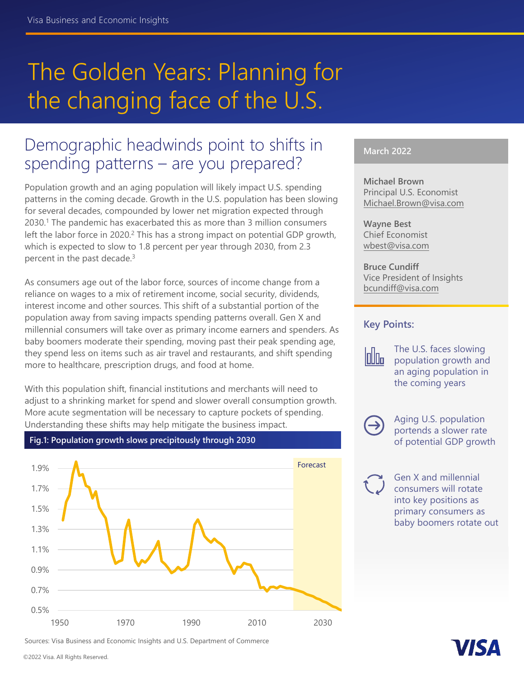# The Golden Years: Planning for the changing face of the U.S.

# Demographic headwinds point to shifts in spending patterns – are you prepared?

Population growth and an aging population will likely impact U.S. spending patterns in the coming decade. Growth in the U.S. population has been slowing for several decades, compounded by lower net migration expected through 2030.1 The pandemic has exacerbated this as more than 3 million consumers left the labor force in 2020.<sup>2</sup> This has a strong impact on potential GDP growth, which is expected to slow to 1.8 percent per year through 2030, from 2.3 percent in the past decade.3

As consumers age out of the labor force, sources of income change from a reliance on wages to a mix of retirement income, social security, dividends, interest income and other sources. This shift of a substantial portion of the population away from saving impacts spending patterns overall. Gen X and millennial consumers will take over as primary income earners and spenders. As baby boomers moderate their spending, moving past their peak spending age, they spend less on items such as air travel and restaurants, and shift spending more to healthcare, prescription drugs, and food at home.

With this population shift, financial institutions and merchants will need to adjust to a shrinking market for spend and slower overall consumption growth. More acute segmentation will be necessary to capture pockets of spending. Understanding these shifts may help mitigate the business impact.



**Fig.1: Population growth slows precipitously through 2030**

Sources: Visa Business and Economic Insights and U.S. Department of Commerce

### **March 2022**

**Michael Brown** Principal U.S. Economist [Michael.Brown@visa.com](michael.brown@visa.com)

**Wayne Best** Chief Economist <wbest@visa.com>

**Bruce Cundiff** Vice President of Insights <bcundiff@visa.com>

### **Key Points:**



The U.S. faces slowing population growth and an aging population in the coming years



Aging U.S. population portends a slower rate of potential GDP growth

Gen X and millennial consumers will rotate into key positions as primary consumers as baby boomers rotate out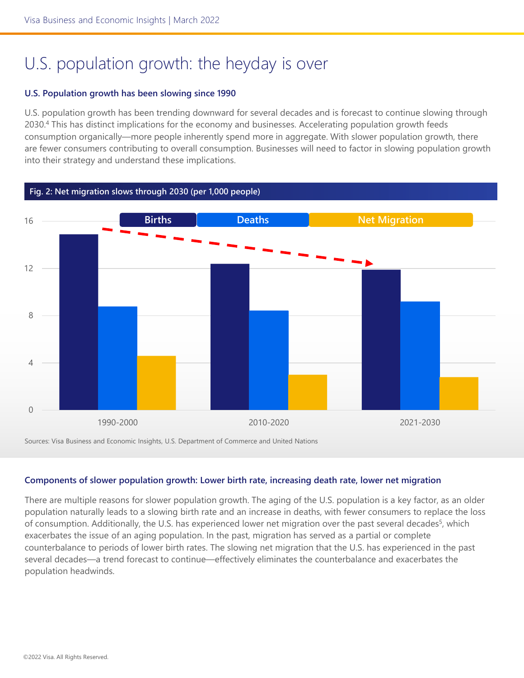# U.S. population growth: the heyday is over

#### **U.S. Population growth has been slowing since 1990**

U.S. population growth has been trending downward for several decades and is forecast to continue slowing through 2030.<sup>4</sup> This has distinct implications for the economy and businesses. Accelerating population growth feeds consumption organically—more people inherently spend more in aggregate. With slower population growth, there are fewer consumers contributing to overall consumption. Businesses will need to factor in slowing population growth into their strategy and understand these implications.



Sources: Visa Business and Economic Insights, U.S. Department of Commerce and United Nations

#### **Components of slower population growth: Lower birth rate, increasing death rate, lower net migration**

There are multiple reasons for slower population growth. The aging of the U.S. population is a key factor, as an older population naturally leads to a slowing birth rate and an increase in deaths, with fewer consumers to replace the loss of consumption. Additionally, the U.S. has experienced lower net migration over the past several decades<sup>5</sup>, which exacerbates the issue of an aging population. In the past, migration has served as a partial or complete counterbalance to periods of lower birth rates. The slowing net migration that the U.S. has experienced in the past several decades—a trend forecast to continue—effectively eliminates the counterbalance and exacerbates the population headwinds.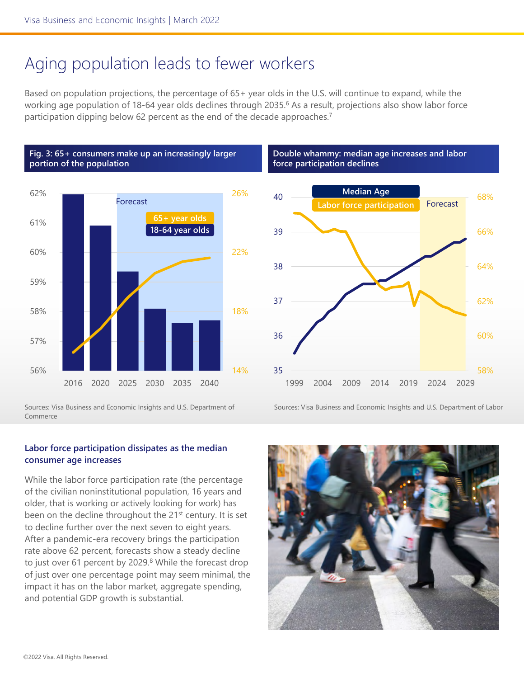# Aging population leads to fewer workers

Based on population projections, the percentage of 65+ year olds in the U.S. will continue to expand, while the working age population of 18-64 year olds declines through 2035.<sup>6</sup> As a result, projections also show labor force participation dipping below 62 percent as the end of the decade approaches.<sup>7</sup>





Sources: Visa Business and Economic Insights and U.S. Department of Commerce

### **Double whammy: median age increases and labor force participation declines**



Sources: Visa Business and Economic Insights and U.S. Department of Labor

### **Labor force participation dissipates as the median consumer age increases**

While the labor force participation rate (the percentage of the civilian noninstitutional population, 16 years and older, that is working or actively looking for work) has been on the decline throughout the 21<sup>st</sup> century. It is set to decline further over the next seven to eight years. After a pandemic-era recovery brings the participation rate above 62 percent, forecasts show a steady decline to just over 61 percent by 2029. $8$  While the forecast drop of just over one percentage point may seem minimal, the impact it has on the labor market, aggregate spending, and potential GDP growth is substantial.

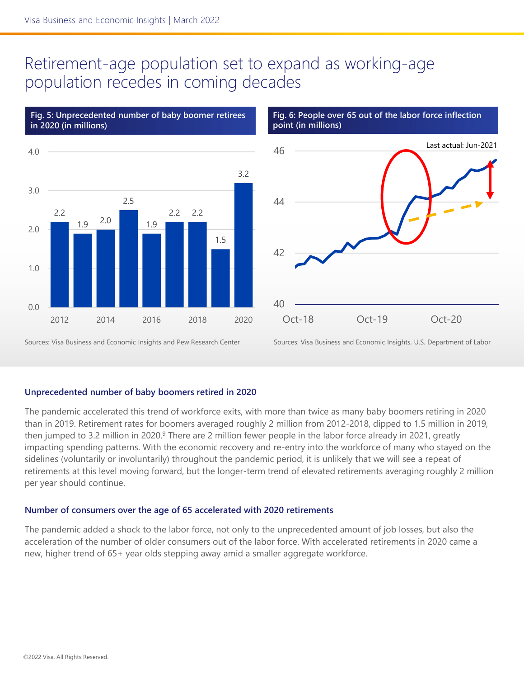### Retirement-age population set to expand as working-age population recedes in coming decades



**Fig. 5: Unprecedented number of baby boomer retirees** 

#### **Fig. 6: People over 65 out of the labor force inflection point (in millions)**



Sources: Visa Business and Economic Insights and Pew Research Center

Sources: Visa Business and Economic Insights, U.S. Department of Labor

#### **Unprecedented number of baby boomers retired in 2020**

The pandemic accelerated this trend of workforce exits, with more than twice as many baby boomers retiring in 2020 than in 2019. Retirement rates for boomers averaged roughly 2 million from 2012-2018, dipped to 1.5 million in 2019, then jumped to 3.2 million in 2020.<sup>9</sup> There are 2 million fewer people in the labor force already in 2021, greatly impacting spending patterns. With the economic recovery and re-entry into the workforce of many who stayed on the sidelines (voluntarily or involuntarily) throughout the pandemic period, it is unlikely that we will see a repeat of retirements at this level moving forward, but the longer-term trend of elevated retirements averaging roughly 2 million per year should continue.

#### **Number of consumers over the age of 65 accelerated with 2020 retirements**

The pandemic added a shock to the labor force, not only to the unprecedented amount of job losses, but also the acceleration of the number of older consumers out of the labor force. With accelerated retirements in 2020 came a new, higher trend of 65+ year olds stepping away amid a smaller aggregate workforce.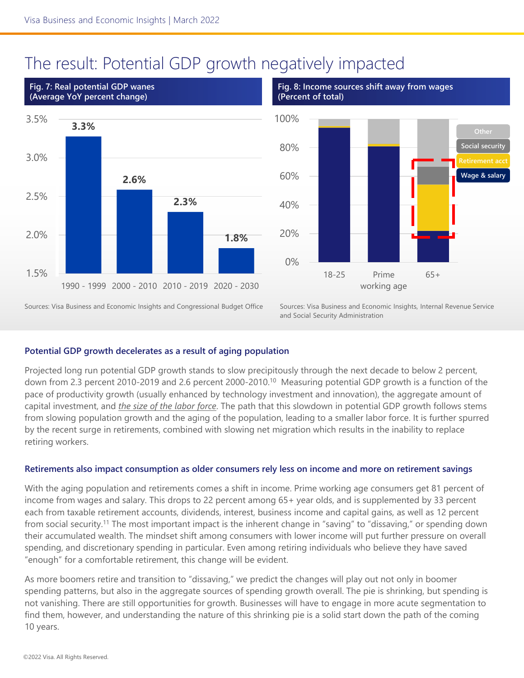### The result: Potential GDP growth negatively impacted



**Fig. 8: Income sources shift away from wages (Percent of total)**



Sources: Visa Business and Economic Insights and Congressional Budget Office

Sources: Visa Business and Economic Insights, Internal Revenue Service and Social Security Administration

### **Potential GDP growth decelerates as a result of aging population**

Projected long run potential GDP growth stands to slow precipitously through the next decade to below 2 percent, down from 2.3 percent 2010-2019 and 2.6 percent 2000-2010.<sup>10</sup> Measuring potential GDP growth is a function of the pace of productivity growth (usually enhanced by technology investment and innovation), the aggregate amount of capital investment, and *the size of the labor force*. The path that this slowdown in potential GDP growth follows stems from slowing population growth and the aging of the population, leading to a smaller labor force. It is further spurred by the recent surge in retirements, combined with slowing net migration which results in the inability to replace retiring workers.

### **Retirements also impact consumption as older consumers rely less on income and more on retirement savings**

With the aging population and retirements comes a shift in income. Prime working age consumers get 81 percent of income from wages and salary. This drops to 22 percent among 65+ year olds, and is supplemented by 33 percent each from taxable retirement accounts, dividends, interest, business income and capital gains, as well as 12 percent from social security.11 The most important impact is the inherent change in "saving" to "dissaving," or spending down their accumulated wealth. The mindset shift among consumers with lower income will put further pressure on overall spending, and discretionary spending in particular. Even among retiring individuals who believe they have saved "enough" for a comfortable retirement, this change will be evident.

As more boomers retire and transition to "dissaving," we predict the changes will play out not only in boomer spending patterns, but also in the aggregate sources of spending growth overall. The pie is shrinking, but spending is not vanishing. There are still opportunities for growth. Businesses will have to engage in more acute segmentation to find them, however, and understanding the nature of this shrinking pie is a solid start down the path of the coming 10 years.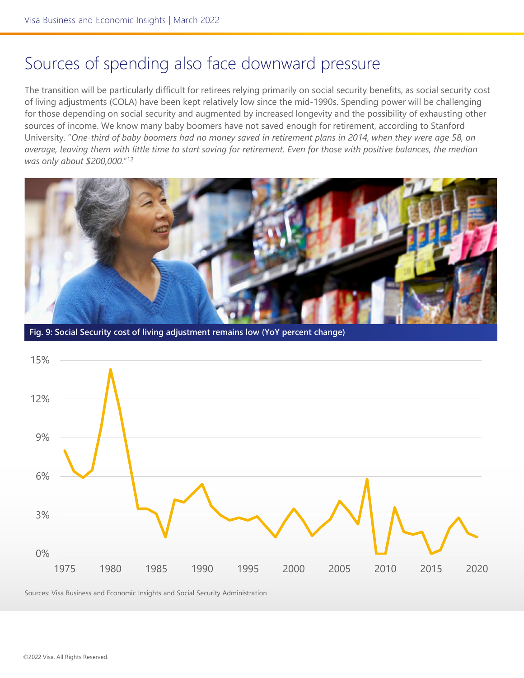### Sources of spending also face downward pressure

The transition will be particularly difficult for retirees relying primarily on social security benefits, as social security cost of living adjustments (COLA) have been kept relatively low since the mid-1990s. Spending power will be challenging for those depending on social security and augmented by increased longevity and the possibility of exhausting other sources of income. We know many baby boomers have not saved enough for retirement, according to Stanford University. "*One-third of baby boomers had no money saved in retirement plans in 2014, when they were age 58, on average, leaving them with little time to start saving for retirement. Even for those with positive balances, the median was only about \$200,000.*"12



**Fig. 9: Social Security cost of living adjustment remains low (YoY percent change)**



Sources: Visa Business and Economic Insights and Social Security Administration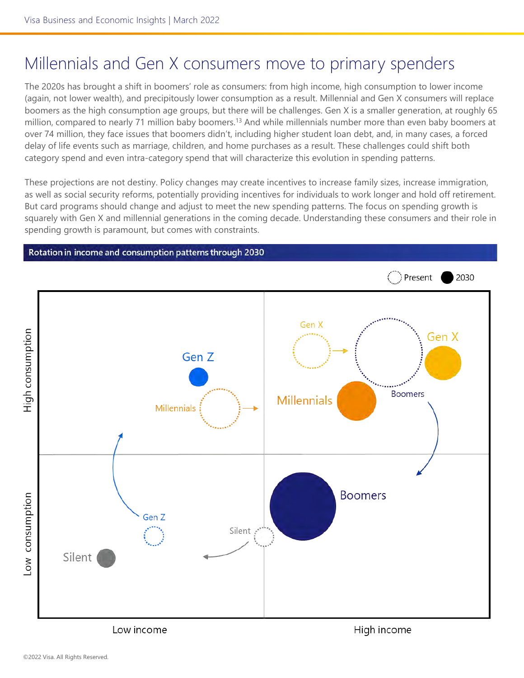# Millennials and Gen X consumers move to primary spenders

The 2020s has brought a shift in boomers' role as consumers: from high income, high consumption to lower income (again, not lower wealth), and precipitously lower consumption as a result. Millennial and Gen X consumers will replace boomers as the high consumption age groups, but there will be challenges. Gen X is a smaller generation, at roughly 65 million, compared to nearly 71 million baby boomers.<sup>13</sup> And while millennials number more than even baby boomers at over 74 million, they face issues that boomers didn't, including higher student loan debt, and, in many cases, a forced delay of life events such as marriage, children, and home purchases as a result. These challenges could shift both category spend and even intra-category spend that will characterize this evolution in spending patterns.

These projections are not destiny. Policy changes may create incentives to increase family sizes, increase immigration, as well as social security reforms, potentially providing incentives for individuals to work longer and hold off retirement. But card programs should change and adjust to meet the new spending patterns. The focus on spending growth is squarely with Gen X and millennial generations in the coming decade. Understanding these consumers and their role in spending growth is paramount, but comes with constraints.

#### Rotation in income and consumption patterns through 2030



Low income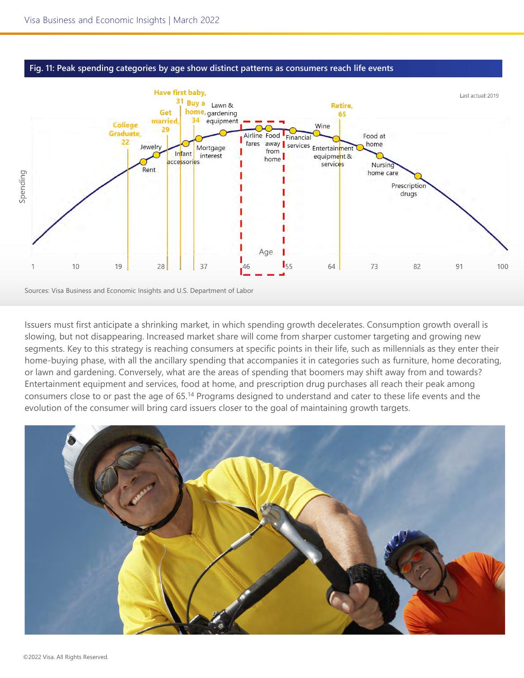



Sources: Visa Business and Economic Insights and U.S. Department of Labor

Issuers must first anticipate a shrinking market, in which spending growth decelerates. Consumption growth overall is slowing, but not disappearing. Increased market share will come from sharper customer targeting and growing new segments. Key to this strategy is reaching consumers at specific points in their life, such as millennials as they enter their home-buying phase, with all the ancillary spending that accompanies it in categories such as furniture, home decorating, or lawn and gardening. Conversely, what are the areas of spending that boomers may shift away from and towards? Entertainment equipment and services, food at home, and prescription drug purchases all reach their peak among consumers close to or past the age of 65.14 Programs designed to understand and cater to these life events and the evolution of the consumer will bring card issuers closer to the goal of maintaining growth targets.

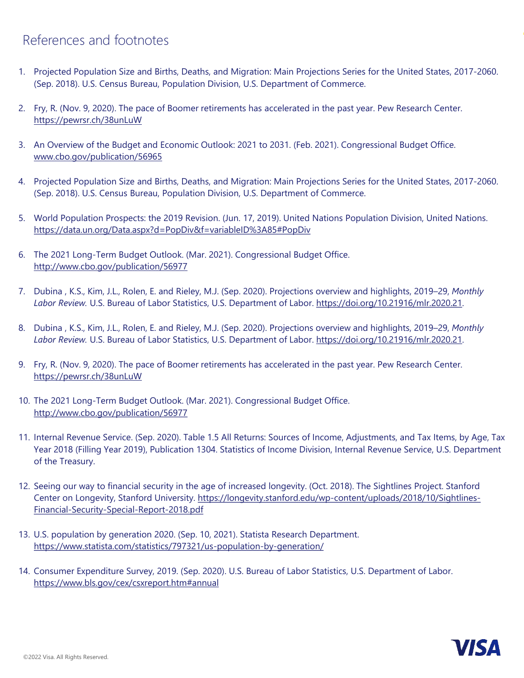### References and footnotes

- 1. Projected Population Size and Births, Deaths, and Migration: Main Projections Series for the United States, 2017-2060. (Sep. 2018). U.S. Census Bureau, Population Division, U.S. Department of Commerce.
- 2. Fry, R. (Nov. 9, 2020). The pace of Boomer retirements has accelerated in the past year. Pew Research Center. <https://pewrsr.ch/38unLuW>
- 3. An Overview of the Budget and Economic Outlook: 2021 to 2031. (Feb. 2021). Congressional Budget Office. [www.cbo.gov/publication/56965](http://www.cbo.gov/publication/56965)
- 4. Projected Population Size and Births, Deaths, and Migration: Main Projections Series for the United States, 2017-2060. (Sep. 2018). U.S. Census Bureau, Population Division, U.S. Department of Commerce.
- 5. World Population Prospects: the 2019 Revision. (Jun. 17, 2019). United Nations Population Division, United Nations. <https://data.un.org/Data.aspx?d=PopDiv&f=variableID%3A85#PopDiv>
- 6. The 2021 Long-Term Budget Outlook. (Mar. 2021). Congressional Budget Office. <http://www.cbo.gov/publication/56977>
- 7. Dubina , K.S., Kim, J.L., Rolen, E. and Rieley, M.J. (Sep. 2020). Projections overview and highlights, 2019–29, *Monthly Labor Review.* U.S. Bureau of Labor Statistics, U.S. Department of Labor. <https://doi.org/10.21916/mlr.2020.21>.
- 8. Dubina , K.S., Kim, J.L., Rolen, E. and Rieley, M.J. (Sep. 2020). Projections overview and highlights, 2019–29, *Monthly Labor Review.* U.S. Bureau of Labor Statistics, U.S. Department of Labor. <https://doi.org/10.21916/mlr.2020.21>.
- 9. Fry, R. (Nov. 9, 2020). The pace of Boomer retirements has accelerated in the past year. Pew Research Center. <https://pewrsr.ch/38unLuW>
- 10. The 2021 Long-Term Budget Outlook. (Mar. 2021). Congressional Budget Office. <http://www.cbo.gov/publication/56977>
- 11. Internal Revenue Service. (Sep. 2020). Table 1.5 All Returns: Sources of Income, Adjustments, and Tax Items, by Age, Tax Year 2018 (Filling Year 2019), Publication 1304. Statistics of Income Division, Internal Revenue Service, U.S. Department of the Treasury.
- 12. Seeing our way to financial security in the age of increased longevity. (Oct. 2018). The Sightlines Project. Stanford [Center on Longevity, Stanford University. https://longevity.stanford.edu/wp-content/uploads/2018/10/Sightlines-](https://longevity.stanford.edu/wp-content/uploads/2018/10/Sightlines-Financial-Security-Special-Report-2018.pdf)Financial-Security-Special-Report-2018.pdf
- 13. U.S. population by generation 2020. (Sep. 10, 2021). Statista Research Department. <https://www.statista.com/statistics/797321/us-population-by-generation/>
- 14. Consumer Expenditure Survey, 2019. (Sep. 2020). U.S. Bureau of Labor Statistics, U.S. Department of Labor. <https://www.bls.gov/cex/csxreport.htm#annual>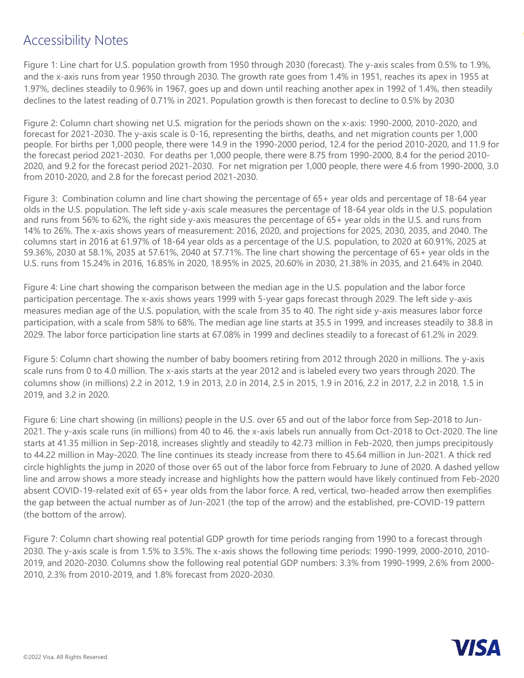### Accessibility Notes

Figure 1: Line chart for U.S. population growth from 1950 through 2030 (forecast). The y-axis scales from 0.5% to 1.9%, and the x-axis runs from year 1950 through 2030. The growth rate goes from 1.4% in 1951, reaches its apex in 1955 at 1.97%, declines steadily to 0.96% in 1967, goes up and down until reaching another apex in 1992 of 1.4%, then steadily declines to the latest reading of 0.71% in 2021. Population growth is then forecast to decline to 0.5% by 2030

Figure 2: Column chart showing net U.S. migration for the periods shown on the x-axis: 1990-2000, 2010-2020, and forecast for 2021-2030. The y-axis scale is 0-16, representing the births, deaths, and net migration counts per 1,000 people. For births per 1,000 people, there were 14.9 in the 1990-2000 period, 12.4 for the period 2010-2020, and 11.9 for the forecast period 2021-2030. For deaths per 1,000 people, there were 8.75 from 1990-2000, 8.4 for the period 2010- 2020, and 9.2 for the forecast period 2021-2030. For net migration per 1,000 people, there were 4.6 from 1990-2000, 3.0 from 2010-2020, and 2.8 for the forecast period 2021-2030.

Figure 3: Combination column and line chart showing the percentage of 65+ year olds and percentage of 18-64 year olds in the U.S. population. The left side y-axis scale measures the percentage of 18-64 year olds in the U.S. population and runs from 56% to 62%, the right side y-axis measures the percentage of 65+ year olds in the U.S. and runs from 14% to 26%. The x-axis shows years of measurement: 2016, 2020, and projections for 2025, 2030, 2035, and 2040. The columns start in 2016 at 61.97% of 18-64 year olds as a percentage of the U.S. population, to 2020 at 60.91%, 2025 at 59.36%, 2030 at 58.1%, 2035 at 57.61%, 2040 at 57.71%. The line chart showing the percentage of 65+ year olds in the U.S. runs from 15.24% in 2016, 16.85% in 2020, 18.95% in 2025, 20.60% in 2030, 21.38% in 2035, and 21.64% in 2040.

Figure 4: Line chart showing the comparison between the median age in the U.S. population and the labor force participation percentage. The x-axis shows years 1999 with 5-year gaps forecast through 2029. The left side y-axis measures median age of the U.S. population, with the scale from 35 to 40. The right side y-axis measures labor force participation, with a scale from 58% to 68%. The median age line starts at 35.5 in 1999, and increases steadily to 38.8 in 2029. The labor force participation line starts at 67.08% in 1999 and declines steadily to a forecast of 61.2% in 2029.

Figure 5: Column chart showing the number of baby boomers retiring from 2012 through 2020 in millions. The y-axis scale runs from 0 to 4.0 million. The x-axis starts at the year 2012 and is labeled every two years through 2020. The columns show (in millions) 2.2 in 2012, 1.9 in 2013, 2.0 in 2014, 2.5 in 2015, 1.9 in 2016, 2.2 in 2017, 2.2 in 2018, 1.5 in 2019, and 3.2 in 2020.

Figure 6: Line chart showing (in millions) people in the U.S. over 65 and out of the labor force from Sep-2018 to Jun-2021. The y-axis scale runs (in millions) from 40 to 46. the x-axis labels run annually from Oct-2018 to Oct-2020. The line starts at 41.35 million in Sep-2018, increases slightly and steadily to 42.73 million in Feb-2020, then jumps precipitously to 44.22 million in May-2020. The line continues its steady increase from there to 45.64 million in Jun-2021. A thick red circle highlights the jump in 2020 of those over 65 out of the labor force from February to June of 2020. A dashed yellow line and arrow shows a more steady increase and highlights how the pattern would have likely continued from Feb-2020 absent COVID-19-related exit of 65+ year olds from the labor force. A red, vertical, two-headed arrow then exemplifies the gap between the actual number as of Jun-2021 (the top of the arrow) and the established, pre-COVID-19 pattern (the bottom of the arrow).

Figure 7: Column chart showing real potential GDP growth for time periods ranging from 1990 to a forecast through 2030. The y-axis scale is from 1.5% to 3.5%. The x-axis shows the following time periods: 1990-1999, 2000-2010, 2010- 2019, and 2020-2030. Columns show the following real potential GDP numbers: 3.3% from 1990-1999, 2.6% from 2000- 2010, 2.3% from 2010-2019, and 1.8% forecast from 2020-2030.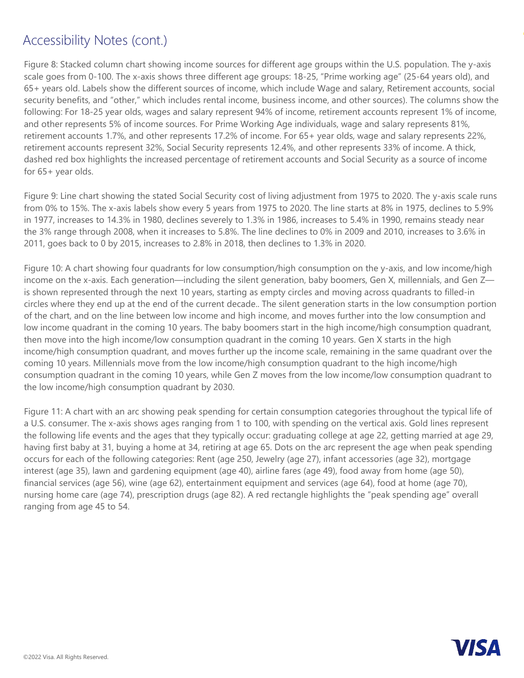### Accessibility Notes (cont.)

Figure 8: Stacked column chart showing income sources for different age groups within the U.S. population. The y-axis scale goes from 0-100. The x-axis shows three different age groups: 18-25, "Prime working age" (25-64 years old), and 65+ years old. Labels show the different sources of income, which include Wage and salary, Retirement accounts, social security benefits, and "other," which includes rental income, business income, and other sources). The columns show the following: For 18-25 year olds, wages and salary represent 94% of income, retirement accounts represent 1% of income, and other represents 5% of income sources. For Prime Working Age individuals, wage and salary represents 81%, retirement accounts 1.7%, and other represents 17.2% of income. For 65+ year olds, wage and salary represents 22%, retirement accounts represent 32%, Social Security represents 12.4%, and other represents 33% of income. A thick, dashed red box highlights the increased percentage of retirement accounts and Social Security as a source of income for 65+ year olds.

Figure 9: Line chart showing the stated Social Security cost of living adjustment from 1975 to 2020. The y-axis scale runs from 0% to 15%. The x-axis labels show every 5 years from 1975 to 2020. The line starts at 8% in 1975, declines to 5.9% in 1977, increases to 14.3% in 1980, declines severely to 1.3% in 1986, increases to 5.4% in 1990, remains steady near the 3% range through 2008, when it increases to 5.8%. The line declines to 0% in 2009 and 2010, increases to 3.6% in 2011, goes back to 0 by 2015, increases to 2.8% in 2018, then declines to 1.3% in 2020.

Figure 10: A chart showing four quadrants for low consumption/high consumption on the y-axis, and low income/high income on the x-axis. Each generation—including the silent generation, baby boomers, Gen X, millennials, and Gen Z is shown represented through the next 10 years, starting as empty circles and moving across quadrants to filled-in circles where they end up at the end of the current decade.. The silent generation starts in the low consumption portion of the chart, and on the line between low income and high income, and moves further into the low consumption and low income quadrant in the coming 10 years. The baby boomers start in the high income/high consumption quadrant, then move into the high income/low consumption quadrant in the coming 10 years. Gen X starts in the high income/high consumption quadrant, and moves further up the income scale, remaining in the same quadrant over the coming 10 years. Millennials move from the low income/high consumption quadrant to the high income/high consumption quadrant in the coming 10 years, while Gen Z moves from the low income/low consumption quadrant to the low income/high consumption quadrant by 2030.

Figure 11: A chart with an arc showing peak spending for certain consumption categories throughout the typical life of a U.S. consumer. The x-axis shows ages ranging from 1 to 100, with spending on the vertical axis. Gold lines represent the following life events and the ages that they typically occur: graduating college at age 22, getting married at age 29, having first baby at 31, buying a home at 34, retiring at age 65. Dots on the arc represent the age when peak spending occurs for each of the following categories: Rent (age 250, Jewelry (age 27), infant accessories (age 32), mortgage interest (age 35), lawn and gardening equipment (age 40), airline fares (age 49), food away from home (age 50), financial services (age 56), wine (age 62), entertainment equipment and services (age 64), food at home (age 70), nursing home care (age 74), prescription drugs (age 82). A red rectangle highlights the "peak spending age" overall ranging from age 45 to 54.